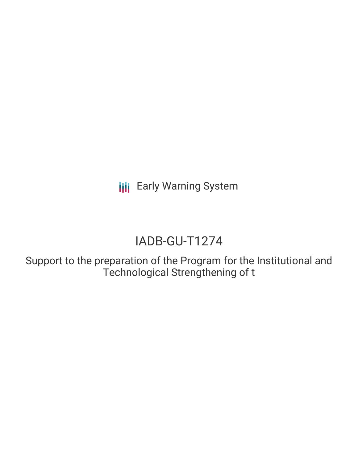**III** Early Warning System

# IADB-GU-T1274

Support to the preparation of the Program for the Institutional and Technological Strengthening of t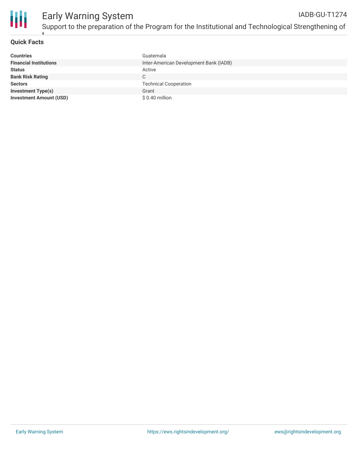

# **Quick Facts**

t

| <b>Countries</b>               | Guatemala                              |
|--------------------------------|----------------------------------------|
| <b>Financial Institutions</b>  | Inter-American Development Bank (IADB) |
| <b>Status</b>                  | Active                                 |
| <b>Bank Risk Rating</b>        | C.                                     |
| <b>Sectors</b>                 | <b>Technical Cooperation</b>           |
| <b>Investment Type(s)</b>      | Grant                                  |
| <b>Investment Amount (USD)</b> | $$0.40$ million                        |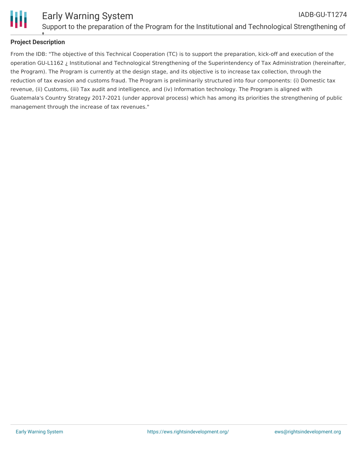

## **Project Description** t

From the IDB: "The objective of this Technical Cooperation (TC) is to support the preparation, kick-off and execution of the operation GU-L1162 ¿ Institutional and Technological Strengthening of the Superintendency of Tax Administration (hereinafter, the Program). The Program is currently at the design stage, and its objective is to increase tax collection, through the reduction of tax evasion and customs fraud. The Program is preliminarily structured into four components: (i) Domestic tax revenue, (ii) Customs, (iii) Tax audit and intelligence, and (iv) Information technology. The Program is aligned with Guatemala's Country Strategy 2017-2021 (under approval process) which has among its priorities the strengthening of public management through the increase of tax revenues."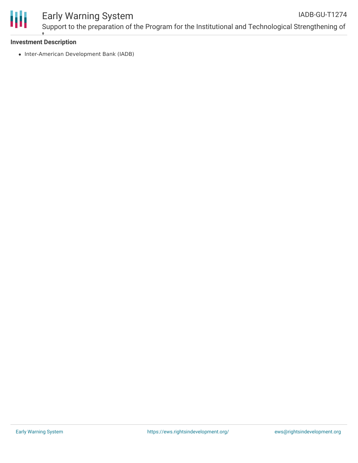

#### **Investment Description** t

• Inter-American Development Bank (IADB)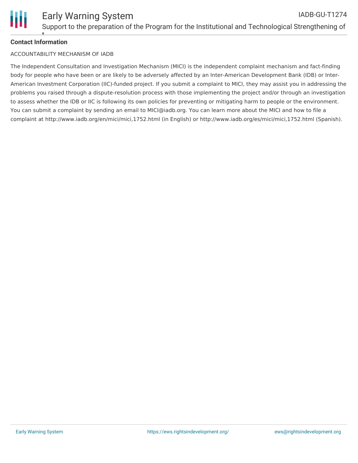

## **Contact Information** t

# ACCOUNTABILITY MECHANISM OF IADB

The Independent Consultation and Investigation Mechanism (MICI) is the independent complaint mechanism and fact-finding body for people who have been or are likely to be adversely affected by an Inter-American Development Bank (IDB) or Inter-American Investment Corporation (IIC)-funded project. If you submit a complaint to MICI, they may assist you in addressing the problems you raised through a dispute-resolution process with those implementing the project and/or through an investigation to assess whether the IDB or IIC is following its own policies for preventing or mitigating harm to people or the environment. You can submit a complaint by sending an email to MICI@iadb.org. You can learn more about the MICI and how to file a complaint at http://www.iadb.org/en/mici/mici,1752.html (in English) or http://www.iadb.org/es/mici/mici,1752.html (Spanish).